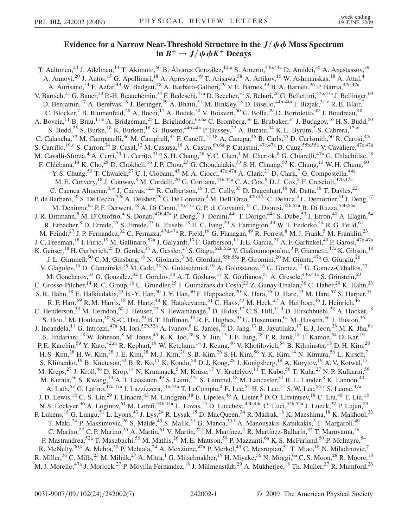## Evidence for a Narrow Near-Threshold Structure in the  $J/\psi \phi$  Mass Spectrum in  $B^+ \to J/\psi \phi K^+$  Decays

<span id="page-0-11"></span><span id="page-0-10"></span><span id="page-0-9"></span><span id="page-0-8"></span><span id="page-0-7"></span><span id="page-0-6"></span><span id="page-0-5"></span><span id="page-0-4"></span><span id="page-0-3"></span><span id="page-0-2"></span><span id="page-0-1"></span><span id="page-0-0"></span>T. Aaltonen,<s[u](#page-6-0)p>24</sup> J. Adelman,<sup>14</sup> T. Akimoto,<sup>56</sup> B. Álvarez González,<sup>12,u</sup> S. Amerio,<sup>44b,44a</sup> D. Amidei,<sup>35</sup> A. Anastassov,<sup>39</sup> A. Annovi,<sup>20</sup> J. Antos,<sup>15</sup> G. Apollinari,<sup>18</sup> A. Apresyan,<sup>49</sup> T. Arisawa,<sup>58</sup> A. Artikov,<sup>16</sup> W. Ashmanskas,<sup>18</sup> A. Attal,<sup>4</sup> A. Aurisano,<sup>54</sup> F. Azfar,<sup>43</sup> W. Badgett,<sup>18</sup> A. Barbaro-Galtieri,<sup>29</sup> V. E. Barnes,<sup>49</sup> B. A. Barnett,<sup>26</sup> P. Barria,<sup>47c,47a</sup> V. Bartsch,<sup>31</sup> G. Bauer,<sup>33</sup> P.-H. Beauchemin,<sup>34</sup> F. Bedeschi,<sup>47a</sup> D. Beecher,<sup>31</sup> S. Behari,<sup>26</sup> G. Bellettini,<sup>47b,47a</sup> J. Bellinger,<sup>60</sup> D. Benjamin,<sup>17</sup> A. Beretvas,<sup>18</sup> J. Beringer,<sup>29</sup> A. Bhatti,<sup>51</sup> M. Binkley,<sup>18</sup> D. Bisello,<sup>44b,44a</sup> I. Bizjak,<sup>31[,z](#page-6-1)</sup> R. E. Blair,<sup>2</sup> C. Blocker,<sup>7</sup> B. Blumenfeld,<sup>26</sup> A. Bocci,<sup>17</sup> A. Bodek,<sup>50</sup> V. Boisvert,<sup>50</sup> G. Bolla,<sup>49</sup> D. Bortoletto,<sup>49</sup> J. Boudreau,<sup>48</sup> A. Boveia,<sup>11</sup> B. Brau,<sup>11,[b](#page-5-0)</sup> A. Bridgeman,<sup>25</sup> L. Brigliadori,<sup>6b,6a</sup> C. Bromberg,<sup>36</sup> E. Brubaker,<sup>14</sup> J. Budagov,<sup>16</sup> H. S. Budd,<sup>50</sup> S. Budd,<sup>25</sup> S. Burke,<sup>18</sup> K. Burkett,<sup>18</sup> G. Busetto,<sup>44b,44a</sup> P. Bussey,<sup>22</sup> A. Buzatu,<sup>34</sup> K. L. Byrum,<sup>2</sup> S. Cabrera,<sup>17,[w](#page-6-2)</sup> C. Calancha,<sup>32</sup> M. Campanelli,<sup>36</sup> M. Campbell,<sup>35</sup> F. Canelli,<sup>14,18</sup> A. Canepa,<sup>46</sup> B. Carls,<sup>25</sup> D. Carlsmith,<sup>60</sup> R. Carosi,<sup>47a</sup> S. Carrillo,<sup>19[,o](#page-6-3)</sup> S. Carron,<sup>34</sup> B. Casal,<sup>12</sup> M. Casarsa,<sup>18</sup> A. Castro,<sup>6b,6a</sup> P. Catastini,<sup>47c,47a</sup> D. Cauz,<sup>55b,55a</sup> V. Cavaliere,<sup>47c,47a</sup> M. Cavalli-Sforza,<sup>4</sup> A. Cerri,<sup>29</sup> L. Cerrito,<sup>31[,q](#page-6-4)</sup> S. H. Chang,<sup>28</sup> Y. C. Chen,<sup>1</sup> M. Chertok,<sup>8</sup> G. Chiarelli,<sup>47a</sup> G. Chlachidze,<sup>18</sup> F. Chlebana,<sup>18</sup> K. Cho,<sup>28</sup> D. Chokheli,<sup>16</sup> J. P. Chou,<sup>23</sup> G. Choudalakis,<sup>33</sup> S. H. Chuang,<sup>53</sup> K. Chung,<sup>13</sup> W. H. Chung,<sup>60</sup> Y. S. Chung,<sup>50</sup> T. Chwalek,<sup>27</sup> C. I. Ciobanu,<sup>45</sup> M. A. Ciocci,<sup>47c,47a</sup> A. Clark,<sup>21</sup> D. Clark,<sup>7</sup> G. Compostella,<sup>44a</sup> M. E. Convery, <sup>18</sup> J. Conway, <sup>8</sup> M. Cordelli, <sup>20</sup> G. Cortiana, <sup>44b, 44a</sup> C. A. Cox, <sup>8</sup> D. J. Cox, <sup>8</sup> F. Crescioli, <sup>47b, 47a</sup> C. Cuenca Almenar,<sup>8[,w](#page-6-2)</sup> J. Cuevas,<sup>12[,u](#page-6-0)</sup> R. Culbertson,<sup>18</sup> J. C. Cully,<sup>35</sup> D. Dagenhart,<sup>18</sup> M. Datta,<sup>18</sup> T. Davies,<sup>22</sup> P. de Barbaro,<sup>50</sup> S. De Cecco,<sup>52a</sup> A. Deisher,<sup>29</sup> G. De Lorenzo,<sup>4</sup> M. Dell'Orso,<sup>47b,47a</sup> C. Deluca,<sup>4</sup> L. Demortier,<sup>51</sup> J. Deng,<sup>17</sup> M. Deninno, <sup>6a</sup> P. F. Derwent, <sup>18</sup> A. Di Canto, <sup>47b, 47a</sup> G. P. di Giovanni, <sup>45</sup> C. Dionisi, <sup>52b, 52a</sup> B. Di Ruzza, <sup>55b, 55a</sup> J. R. Dittmann,<sup>5</sup> M. D'Onofrio,<sup>4</sup> S. Donati,<sup>47b,47a</sup> P. Dong,<sup>9</sup> J. Donini,<sup>44a</sup> T. Dorigo,<sup>44a</sup> S. Dube,<sup>53</sup> J. Efron,<sup>40</sup> A. Elagin,<sup>54</sup> R. Erbacher,  $8$  D. Errede,  $25$  S. Errede,  $25$  R. Eusebi,  $^{18}$  H. C. Fang,  $^{29}$  S. Farrington,  $^{43}$  W. T. Fedorko,  $^{14}$  R. G. Feild,  $^{61}$ M. Feindt,<sup>27</sup> J. P. Fernandez,<sup>32</sup> C. Ferrazza,<sup>47d,47a</sup> R. Field,<sup>19</sup> G. Flanagan,<sup>49</sup> R. Forrest,<sup>8</sup> M. J. Frank,<sup>5</sup> M. Franklin,<sup>23</sup> J. C. Freeman, <sup>18</sup> I. Furic, <sup>19</sup> M. Gallinaro, <sup>52a</sup> J. Galyardt, <sup>13</sup> F. Garberson, <sup>11</sup> J. E. Garcia, <sup>21</sup> A. F. Garfinkel, <sup>49</sup> P. Garosi, <sup>47c, 47a</sup> K. Genser,<sup>18</sup> H. Gerberich,<sup>25</sup> D. Gerdes,<sup>35</sup> A. Gessler,<sup>27</sup> S. Giagu,<sup>52b,52a</sup> V. Giakoumopoulou,<sup>3</sup> P. Giannetti,<sup>47a</sup> K. Gibson,<sup>48</sup> J. L. Gimmell,<sup>50</sup> C. M. Ginsburg,<sup>18</sup> N. Giokaris,<sup>3</sup> M. Giordani,<sup>55b,55a</sup> P. Giromini,<sup>20</sup> M. Giunta,<sup>47a</sup> G. Giurgiu,<sup>26</sup> V. Glagolev,<sup>16</sup> D. Glenzinski,<sup>18</sup> M. Gold,<sup>38</sup> N. Goldschmidt,<sup>19</sup> A. Golossanov,<sup>18</sup> G. Gomez,<sup>12</sup> G. Gomez-Ceballos,<sup>33</sup> M. Goncharov,<sup>33</sup> O. González,<sup>32</sup> I. Gorelov,<sup>38</sup> A. T. Goshaw,<sup>17</sup> K. Goulianos,<sup>51</sup> A. Gresele,<sup>44b,44a</sup> S. Grinstein,<sup>23</sup> C. Grosso-Pilcher, <sup>14</sup> R. C. Group, <sup>18</sup> U. Grundler, <sup>25</sup> J. Guimaraes da Costa, <sup>23</sup> Z. Gunay-Unalan, <sup>36</sup> C. Haber, <sup>29</sup> K. Hahn, <sup>33</sup> S. R. Hahn,<sup>18</sup> E. Halkiadakis,<sup>53</sup> B.-Y. Han,<sup>50</sup> J. Y. Han,<sup>50</sup> F. Happacher,<sup>20</sup> K. Hara,<sup>56</sup> D. Hare,<sup>53</sup> M. Hare,<sup>57</sup> S. Harper,<sup>43</sup> R. F. Harr,<sup>59</sup> R. M. Harris,<sup>18</sup> M. Hartz,<sup>48</sup> K. Hatakeyama,<sup>51</sup> C. Hays,<sup>43</sup> M. Heck,<sup>27</sup> A. Heijboer,<sup>46</sup> J. Heinrich,<sup>46</sup> C. Henderson,  $33$  M. Herndon,  $60$  J. Heuser,  $27$  S. Hewamanage,  $5$  D. Hidas,  $17$  C. S. Hill,  $11, d$  D. Hirschbuehl,  $27$  A. Hocker,  $18$ S. Hou,<sup>1</sup> M. Houlden,<sup>30</sup> S.-C. Hsu,<sup>29</sup> B. T. Huffman,<sup>43</sup> R. E. Hughes,<sup>40</sup> U. Husemann,<sup>61</sup> M. Hussein,<sup>36</sup> J. Huston,<sup>36</sup> J. Incandela,<sup>11</sup> G. Introzzi,<sup>47a</sup> M. Iori,<sup>52b,52a</sup> A. Ivanov,<sup>8</sup> E. James,<sup>18</sup> D. Jang,<sup>13</sup> B. Jayatilaka,<sup>17</sup> E. J. Jeon,<sup>28</sup> M. K. Jha,<sup>6a</sup> S. Jindariani,<sup>18</sup> W. Johnson,<sup>8</sup> M. Jones,<sup>49</sup> K. K. Joo,<sup>28</sup> S. Y. Jun,<sup>13</sup> J. E. Jung,<sup>28</sup> T. R. Junk,<sup>18</sup> T. Kamon,<sup>54</sup> D. Kar,<sup>19</sup> P. E. Karchin,<sup>59</sup> Y. Kato,<sup>42[,m](#page-6-5)</sup> R. Kephart,<sup>18</sup> W. Ketchum,<sup>14</sup> J. Keung,<sup>46</sup> V. Khotilovich,<sup>54</sup> B. Kilminster,<sup>18</sup> D. H. Kim,<sup>28</sup> H. S. Kim,<sup>28</sup> H. W. Kim,<sup>28</sup> J. E. Kim,<sup>28</sup> M. J. Kim,<sup>20</sup> S. B. Kim,<sup>28</sup> S. H. Kim,<sup>56</sup> Y. K. Kim,<sup>14</sup> N. Kimura,<sup>56</sup> L. Kirsch,<sup>7</sup> S. Klimenko,<sup>19</sup> B. Knuteson,<sup>33</sup> B. R. Ko,<sup>17</sup> K. Kondo,<sup>58</sup> D. J. Kong,<sup>28</sup> J. Konigsberg,<sup>19</sup> A. Korytov,<sup>19</sup> A. V. Kotwal,<sup>17</sup> M. Kreps,<sup>27</sup> J. Kroll,<sup>46</sup> D. Krop,<sup>14</sup> N. Krumnack,<sup>5</sup> M. Kruse,<sup>17</sup> V. Krutelyov,<sup>11</sup> T. Kubo,<sup>56</sup> T. Kuhr,<sup>27</sup> N. P. Kulkarni,<sup>59</sup> M. Kura[t](#page-6-6)a,<sup>56</sup> S. Kwang,<sup>14</sup> A. T. Laasanen,<sup>49</sup> S. Lami,<sup>47a</sup> S. Lammel,<sup>18</sup> M. Lancaster,<sup>31</sup> R. L. Lander,<sup>8</sup> K. Lannon,<sup>40,t</sup> A. Lath,<sup>53</sup> G. Latino,<sup>47c,47a</sup> I. Lazzizzera,<sup>44b,44a</sup> T. LeCompte,<sup>2</sup> E. Lee,<sup>54</sup> H. S. Lee,<sup>14</sup> S. W. Lee,<sup>54,[v](#page-6-7)</sup> S. Leone,<sup>47a</sup> J. D. Lewis,<sup>18</sup> C.-S. Lin,<sup>29</sup> J. Linacre,<sup>43</sup> M. Lindgren,<sup>18</sup> E. Lipeles,<sup>46</sup> A. Lister,<sup>8</sup> D. O. Litvintsev,<sup>18</sup> C. Liu,<sup>48</sup> T. Liu,<sup>18</sup> N. S. Lockyer,<sup>46</sup> A. Loginov,<sup>61</sup> M. Loreti,<sup>44b,44a</sup> L. Lovas,<sup>15</sup> D. Lucchesi,<sup>44b,44a</sup> C. Luci,<sup>52b,52a</sup> J. Lueck,<sup>27</sup> P. Lujan,<sup>29</sup> P. Lukens,<sup>18</sup> G. Lungu,<sup>51</sup> L. Lyons,<sup>43</sup> J. Lys,<sup>29</sup> R. Lysak,<sup>15</sup> D. MacQueen,<sup>34</sup> R. Madrak,<sup>18</sup> K. Maeshima,<sup>18</sup> K. Makhoul,<sup>33</sup> T. Maki,<sup>24</sup> P. Maksimovic,<sup>26</sup> S. Malde,<sup>43</sup> S. Malik,<sup>31</sup> G. Manca,<sup>30,[f](#page-5-2)</sup> A. Manousakis-Katsikakis,<sup>3</sup> F. Margaroli,<sup>49</sup> C. Marino,<sup>27</sup> C. P. Marino,<sup>25</sup> A. Martin,<sup>61</sup> V. Martin,<sup>22,1</sup> M. Martínez,<sup>4</sup> R. Martínez-Ballarín,<sup>32</sup> T. Maruyama,<sup>56</sup> P. Mastrandrea,<sup>52a</sup> T. Masubuchi,<sup>56</sup> M. Mathis,<sup>26</sup> M. E. Mattson,<sup>59</sup> P. Mazzanti,<sup>6a</sup> K. S. McFarland,<sup>50</sup> P. McIntyre,<sup>54</sup> R. McNulty,<sup>30[,k](#page-6-9)</sup> A. Mehta,<sup>30</sup> P. Mehtala,<sup>24</sup> A. Menzione,<sup>47a</sup> P. Merkel,<sup>49</sup> C. Mesropian,<sup>51</sup> T. Miao,<sup>18</sup> N. Miladinovic,<sup>7</sup> R. Miller,<sup>36</sup> C. Mills,<sup>23</sup> M. Milnik,<sup>27</sup> A. Mitra,<sup>1</sup> G. Mitselmakher,<sup>19</sup> H. Miyake,<sup>56</sup> N. Moggi,<sup>6a</sup> C. S. Moon,<sup>28</sup> R. Moore,<sup>18</sup> M. J. Morello,<sup>47a</sup> J. Morlock,<sup>27</sup> P. Movilla Fernandez,<sup>18</sup> J. Mülmenstädt,<sup>29</sup> A. Mukherjee,<sup>18</sup> Th. Muller,<sup>27</sup> R. Mumford,<sup>26</sup>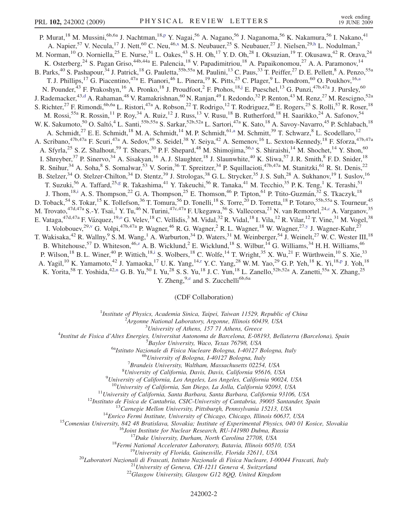<span id="page-1-9"></span><span id="page-1-6"></span><span id="page-1-4"></span><span id="page-1-3"></span><span id="page-1-0"></span>P. Murat,<sup>18</sup> M. Mussini,<sup>6b,6a</sup> J. Nachtman,<sup>18[,p](#page-6-10)</sup> Y. Nagai,<sup>56</sup> A. Nagano,<sup>56</sup> J. Naganoma,<sup>56</sup> K. Nakamura,<sup>56</sup> I. Nakano,<sup>41</sup> A. Napier,<sup>57</sup> V. Necula,<sup>17</sup> J. Nett,<sup>60</sup> C. Neu,<sup>46[,x](#page-6-11)</sup> M. S. Neubauer,<sup>25</sup> S. Neubauer,<sup>27</sup> J. Nielsen,<sup>29,[h](#page-6-12)</sup> L. Nodulman,<sup>2</sup> M. Norman,<sup>10</sup> O. Norniella,<sup>25</sup> E. Nurse,<sup>31</sup> L. Oakes,<sup>43</sup> S. H. Oh,<sup>17</sup> Y. D. Oh,<sup>28</sup> I. Oksuzian,<sup>19</sup> T. Okusawa,<sup>42</sup> R. Orava,<sup>24</sup> K. Osterberg,<sup>24</sup> S. Pagan Griso,<sup>44b,44a</sup> E. Palencia,<sup>18</sup> V. Papadimitriou,<sup>18</sup> A. Papaikonomou,<sup>27</sup> A. A. Paramonov,<sup>14</sup> B. Parks,<sup>40</sup> S. Pashapour,<sup>34</sup> J. Patrick,<sup>18</sup> G. Pauletta,<sup>55b,55a</sup> M. Paulini,<sup>13</sup> C. Paus,<sup>33</sup> T. Peiffer,<sup>27</sup> D. E. Pellett,<sup>8</sup> A. Penzo,<sup>55a</sup> T. J. Phillips,<sup>17</sup> G. Piacentino,<sup>47a</sup> E. Pianori,<sup>46</sup> L. Pinera,<sup>19</sup> K. Pitts,<sup>25</sup> C. Plager,<sup>9</sup> L. Pondrom,<sup>60</sup> O. Poukhov,<sup>16[,a](#page-5-3)</sup> N. Pounder,<sup>43</sup> F. Prakoshyn,<sup>16</sup> A. Pronko,<sup>18</sup> J. Proudfoot,<sup>2</sup> F. Ptohos,<sup>18[,j](#page-6-13)</sup> E. Pueschel,<sup>13</sup> G. Punzi,<sup>47b,47a</sup> J. Pursley,<sup>60</sup> J. Rademacker,<sup>43[,d](#page-5-1)</sup> A. Rahaman,<sup>48</sup> V. Ramakrishnan,<sup>60</sup> N. Ranjan,<sup>49</sup> I. Redondo,<sup>32</sup> P. Renton,<sup>43</sup> M. Renz,<sup>27</sup> M. Rescigno,<sup>52a</sup> S. Richter,<sup>27</sup> F. Rimondi,<sup>6b,6a</sup> L. Ristori,<sup>47a</sup> A. Robson,<sup>22</sup> T. Rodrigo,<sup>12</sup> T. Rodriguez,<sup>46</sup> E. Rogers,<sup>25</sup> S. Rolli,<sup>57</sup> R. Roser,<sup>18</sup> M. Rossi,<sup>55a</sup> R. Rossin,<sup>11</sup> P. Roy,<sup>34</sup> A. Ruiz,<sup>12</sup> J. Russ,<sup>13</sup> V. Rusu,<sup>18</sup> B. Rutherford,<sup>18</sup> H. Saarikko,<sup>24</sup> A. Safonov,<sup>54</sup> W. K. Sakumoto,<sup>50</sup> O. Saltó,<sup>4</sup> L. Santi,<sup>55b,55a</sup> S. Sarkar,<sup>52b,52a</sup> L. Sartori,<sup>47a</sup> K. Sato,<sup>18</sup> A. Savoy-Navarro,<sup>45</sup> P. Schlabach,<sup>18</sup> A. Schmidt,<sup>27</sup> E. E. Schmidt,<sup>18</sup> M. A. Schmidt,<sup>14</sup> M. P. Schmidt,<sup>61,[a](#page-5-3)</sup> M. Schmitt,<sup>39</sup> T. Schwarz,<sup>8</sup> L. Scodellaro,<sup>12</sup> A. Scribano,<sup>47b,47a</sup> F. Scuri,<sup>47a</sup> A. Sedov,<sup>49</sup> S. Seidel,<sup>38</sup> Y. Seiya,<sup>42</sup> A. Semenov,<sup>16</sup> L. Sexton-Kennedy,<sup>18</sup> F. Sforza,<sup>47b,47a</sup> A. Sfyrla,<sup>25</sup> S. Z. Shalhout,<sup>59</sup> T. Shears,<sup>30</sup> P. F. Shepard,<sup>48</sup> M. Shimojima,<sup>56[,s](#page-6-14)</sup> S. Shiraishi,<sup>14</sup> M. Shochet,<sup>14</sup> Y. Shon,<sup>60</sup> I. Shreyber,<sup>37</sup> P. Sinervo,<sup>34</sup> A. Sisakyan,<sup>16</sup> A. J. Slaughter,<sup>18</sup> J. Slaunwhite,<sup>40</sup> K. Sliwa,<sup>57</sup> J. R. Smith,<sup>8</sup> F. D. Snider,<sup>18</sup> R. Snihur,<sup>34</sup> A. Soha,  $8$  S. Somalwar,<sup>53</sup> V. Sorin,<sup>36</sup> T. Spreitzer,<sup>34</sup> P. Squillacioti,<sup>47b,47a</sup> M. Stanitzki,<sup>61</sup> R. St. Denis,<sup>22</sup> B. Stelzer,<sup>34</sup> O. Stelzer-Chilton,<sup>34</sup> D. Stentz,<sup>39</sup> J. Strologas,<sup>38</sup> G. L. Strycker,<sup>35</sup> J. S. Suh,<sup>28</sup> A. Sukhanov,<sup>19</sup> I. Suslov,<sup>16</sup> T. Suzuki,<sup>56</sup> A. Taffard,<sup>25,[g](#page-6-15)</sup> R. Takashima,<sup>41</sup> Y. Takeuchi,<sup>56</sup> R. Tanaka,<sup>41</sup> M. Tecchio,<sup>35</sup> P. K. Teng,<sup>1</sup> K. Terashi,<sup>51</sup> J. Thom,<sup>18,[i](#page-6-16)</sup> A. S. Thompson,<sup>22</sup> G. A. Thompson,<sup>25</sup> E. Thomson,<sup>46</sup> P. Tipton,<sup>61</sup> P. Ttito-Guzmán,<sup>32</sup> S. Tkaczyk,<sup>18</sup> D. Toback,<sup>54</sup> S. Tokar,<sup>15</sup> K. Tollefson,<sup>36</sup> T. Tomura,<sup>56</sup> D. Tonelli,<sup>18</sup> S. Torre,<sup>20</sup> D. Torretta,<sup>18</sup> P. Totaro,<sup>55b,55a</sup> S. Tourneur,<sup>45</sup> M. Trovato, <sup>47d,47a</sup> S.-Y. Tsai,<sup>1</sup> Y. Tu,<sup>46</sup> N. Turini,<sup>47c,47a</sup> F. Ukegawa,<sup>56</sup> S. Vallecorsa,<sup>21</sup> N. van Remortel,<sup>24[,c](#page-5-4)</sup> A. Varganov,<sup>35</sup> E. Vataga, <sup>47d, 47a</sup> F. Vázquez, <sup>19,0</sup> G. Velev, <sup>18</sup> C. Vellidis, <sup>3</sup> M. Vidal, <sup>32</sup> R. Vidal, <sup>18</sup> I. Vila, <sup>12</sup> R. Vilar, <sup>12</sup> T. Vine, <sup>31</sup> M. V[o](#page-6-3)gel, <sup>38</sup> I. Volobouev,<sup>29[,v](#page-6-7)</sup> G. Volpi,<sup>47b,47a</sup> P. Wagner,<sup>46</sup> R. G. Wagner,<sup>2</sup> R. L. Wagner,<sup>18</sup> W. Wagner,<sup>27,[y](#page-6-17)</sup> J. Wagner-Kuhr,<sup>27</sup> T. Wakisaka,<sup>42</sup> R. Wallny,<sup>9</sup> S. M. Wang,<sup>1</sup> A. Warburton,<sup>34</sup> D. Waters,<sup>31</sup> M. Weinberger,<sup>54</sup> J. Weinelt,<sup>27</sup> W. C. Wester III,<sup>18</sup> B. Whitehouse,<sup>57</sup> D. Whiteson,<sup>46,[z](#page-6-1)</sup> A. B. Wicklund,<sup>2</sup> E. Wicklund,<sup>18</sup> S. Wilbur,<sup>14</sup> G. Williams,<sup>34</sup> H. H. Williams,<sup>46</sup> P. Wilson,<sup>18</sup> B. L. Winer,<sup>40</sup> P. Wittich,<sup>18[,i](#page-6-16)</sup> S. Wolbers,<sup>18</sup> C. Wolfe,<sup>14</sup> T. Wright,<sup>35</sup> X. Wu,<sup>21</sup> F. Würthwein,<sup>10</sup> S. Xie,<sup>33</sup> A. Yagil,<sup>10</sup> K. Yamamoto,<sup>42</sup> J. Yamaoka,<sup>17</sup> U.K. Yang,<sup>14[,r](#page-6-18)</sup> Y.C. Yang,<sup>28</sup> W.M. Yao,<sup>29</sup> G.P. Yeh,<sup>18</sup> K. Yi,<sup>18[,p](#page-6-10)</sup> J. Yoh,<sup>18</sup> K. Yorita,<sup>58</sup> T. Yoshida,<sup>42,[n](#page-6-19)</sup> G. B. Yu,<sup>50</sup> I. Yu,<sup>28</sup> S. S. Yu,<sup>18</sup> J. C. Yun,<sup>18</sup> L. Zanello,<sup>52b,52a</sup> A. Zanetti,<sup>55a</sup> X. Zhang,<sup>25</sup>

Y. Zh[e](#page-5-5)ng,<sup>9,e</sup> and S. Zucchelli<sup>6b,6a</sup>

(CDF Collaboration)

<span id="page-1-1"></span><sup>1</sup>Institute of Physics, Academia Sinica, Taipei, Taiwan 11529, Republic of China<br><sup>2</sup>Argonna National Laboratory, Argonna Illinois 60430, USA

 $A$ rgonne National Laboratory, Argonne, Illinois 60439, USA<br> $3$ University of Athens, 157 71 Athens, Greece

<span id="page-1-10"></span><span id="page-1-8"></span><span id="page-1-7"></span><span id="page-1-5"></span><span id="page-1-2"></span><sup>5</sup> University of Athens, 157 71 Athens, Greece  $\frac{3}{4}$  University of Athens, 157 71 Athens, Greece

Institut de Fisica d'Altes Energies, Universitat Autonoma de Barcelona, E-08193, Bellaterra (Barcelona), Spain <sup>5</sup>

 $^{5}$ Baylor University, Waco, Texas 76798, USA<br><sup>6a</sup>Istituto Nazionale di Fisica Nucleare Bologna, I-40127 Bologna, Italy <sup>6b</sup>University of Bologna, I-40127 Bologna, Italy

 ${}^{7}$ Brandeis University, Waltham, Massachusetts 02254, USA

 ${}^{8}$ University of California, Davis, Davis, California 95616, USA

 $^{9}$ University of California, Los Angeles, Los Angeles, California 90024, USA

<sup>10</sup>University of California, San Diego, La Jolla, California 92093, USA<br>
<sup>11</sup>University of California, Santa Barbara, Santa Barbara, California 93106, USA<br>
<sup>12</sup>Instituto de Fisica de Cantabria, CSIC-University of Cantabr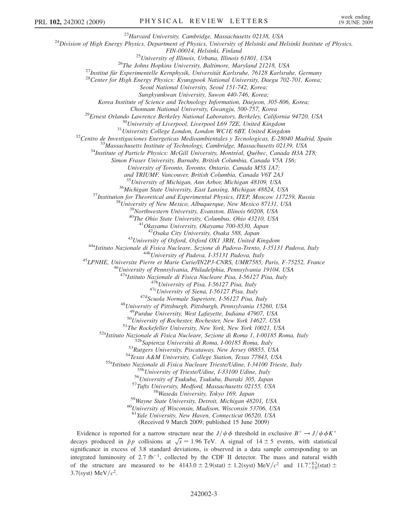<sup>23</sup>Harvard University, Cambridge, Massachusetts 02138, USA<br><sup>24</sup>Division of High Energy Physics, Department of Physics, University of Helsinki and Helsinki Institute of Physics,

FIN-00014, Helsinki, Finland<br><sup>25</sup>University of Illinois, Urbana, Illinois 61801, USA<br><sup>26</sup>The Johns Hopkins University, Baltimore, Maryland 21218, USA<br><sup>27</sup>Institut für Experimentelle Kernphysik, Universität Karlsruhe, 76128

Seoul National University, Seoul 151-742, Korea;

Sungkyunkwan University, Suwon 440-746, Korea;

Korea Institute of Science and Technology Information, Daejeon, 305-806, Korea;

Chonnam National University, Gwangju, 500-757, Korea<br><sup>29</sup>Ernest Orlando Lawrence Berkeley National Laboratory, Berkeley, California 94720, USA<br><sup>30</sup>University of Liverpool, Liverpool L69 7ZE, United Kingdom<br><sup>31</sup>University C

Simon Fraser University, Burnaby, British Columbia, Canada V5A 1S6;

University of Toronto, Toronto, Ontario, Canada M5S 1A7;

and TRIUMF, Vancouver, British Columbia, Canada V6T 2A3

<sup>35</sup> University of Michigan, Ann Arbor, Michigan 48109, USA<br><sup>36</sup> Michigan State University, East Lansing, Michigan 48824, USA<br><sup>37</sup> Institution for Theoretical and Experimental Physics, ITEP, Moscow 117259, Russia<br><sup>38</sup> Uni

<sup>43</sup>University of Oxford, Oxford OX1 3RH, United Kingdom<br><sup>44a</sup>Istituto Nazionale di Fisica Nucleare, Sezione di Padova-Trento, I-35131 Padova, Italy<br><sup>44b</sup>University of Padova, I-35131 Padova, Italy<br><sup>45</sup>LPNHE, Universite P

 $^{476}$ University of Pisa, 1-56127 Pisa, Italy<br><sup> $47c$ </sup>University of Siena, 1-56127 Pisa, Italy<br><sup> $47d$ </sup>Scuola Normale Superiore, 1-56127 Pisa, Italy<br><sup>48</sup>University of Pittsburgh, Pittsburgh, Pennsylvania 15260, USA

<sup>49</sup>Purdue University, West Lafayette, Indiana 47907, USA<br><sup>50</sup>University of Rochester, Rochester, New York 14627, USA<br><sup>51</sup>The Rockefeller University, New York, New York 10021, USA<br><sup>52</sup>Natituto Nazionale di Fisica Nucleare

<sup>61</sup>Yale University, New Haven, Connecticut 06520, USA

(Received 9 March 2009; published 15 June 2009)

Evidence is reported for a narrow structure near the  $J/\psi \phi$  threshold in exclusive  $B^+ \to J/\psi \phi K^+$ decays produced in  $\bar{p}p$  collisions at  $\sqrt{s} = 1.96$  TeV. A signal of  $14 \pm 5$  events, with statistical significance in excess of 3.8 standard deviations, is observed in a data sample corresponding to an integrated luminosity of  $2.7 \text{ fb}^{-1}$ , collected by the CDF II detector. The mass and natural width of the structure are measured to be  $4143.0 \pm 2.9$  (stat)  $\pm 1.2$  (syst) MeV/ $c^2$  and  $11.7^{+8.3}_{-5.0}$  (stat)  $\pm$ 3.7(syst) MeV/ $c^2$ .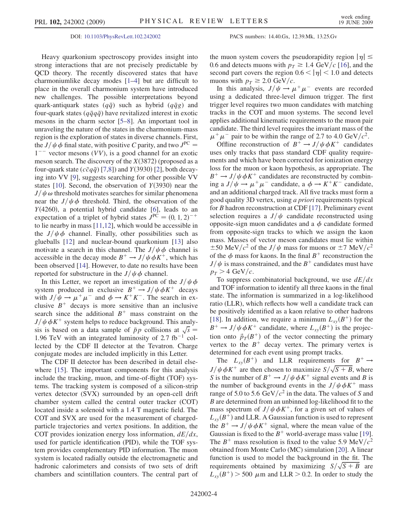DOI: [10.1103/PhysRevLett.102.242002](http://dx.doi.org/10.1103/PhysRevLett.102.242002) PACS numbers: 14.40.Gx, 12.39.Mk, 13.25.Gv

Heavy quarkonium spectroscopy provides insight into strong interactions that are not precisely predictable by QCD theory. The recently discovered states that have charmoniumlike decay modes [[1](#page-6-20)[–4](#page-6-21)] but are difficult to place in the overall charmonium system have introduced new challenges. The possible interpretations beyond quark-antiquark states  $(q\bar{q})$  such as hybrid  $(q\bar{q}g)$  and four-quark states  $(q\bar{q}q\bar{q})$  have revitalized interest in exotic mesons in the charm sector [\[5](#page-6-22)–[8\]](#page-6-23). An important tool in unraveling the nature of the states in the charmonium-mass region is the exploration of states in diverse channels. First, the  $J/\psi \phi$  final state, with positive C parity, and two  $J^{PC} =$  $1^{--}$  vector mesons (VV), is a good channel for an exotic meson search. The discovery of the  $X(3872)$  (proposed as a four-quark state ( $c\bar{c}q\bar{q}$ ) [[7,](#page-6-24)[8\]](#page-6-23)) and  $Y(3930)$  [[2\]](#page-6-25), both decaying into VV [\[9](#page-6-26)], suggests searching for other possible VV states [[10](#page-6-27)]. Second, the observation of  $Y(3930)$  near the  $J/\psi \omega$  threshold motivates searches for similar phenomena near the  $J/\psi \phi$  threshold. Third, the observation of the  $Y(4260)$ , a potential hybrid candidate [\[6\]](#page-6-28), leads to an expectation of a triplet of hybrid states  $J^{PC} = (0, 1, 2)^{-+}$ to lie nearby in mass [\[11](#page-6-29)[,12\]](#page-6-30), which would be accessible in the  $J/\psi \phi$  channel. Finally, other possibilities such as glueballs [\[12\]](#page-6-30) and nuclear-bound quarkonium [\[13\]](#page-6-31) also motivate a search in this channel. The  $J/\psi \phi$  channel is accessible in the decay mode  $B^+ \to J/\psi \phi K^+$ , which has been observed [\[14\]](#page-6-32). However, to date no results have been reported for substructure in the  $J/\psi \phi$  channel.

In this Letter, we report an investigation of the  $J/\psi \phi$ system produced in exclusive  $B^+ \to J/\psi \phi K^+$  decays with  $J/\psi \rightarrow \mu^+ \mu^-$  and  $\phi \rightarrow K^+ K^-$ . The search in exclusive  $B^+$  decays is more sensitive than an inclusive search since the additional  $B^+$  mass constraint on the  $J/\psi \phi K^+$  system helps to reduce background. This analysis is based on a data sample of  $\bar{p}p$  collisions at  $\sqrt{s}$ 1.96 TeV with an integrated luminosity of  $2.7 \text{ fb}^{-1}$  collected by the CDF II detector at the Tevatron. Charge conjugate modes are included implicitly in this Letter.

The CDF II detector has been described in detail elsewhere [\[15\]](#page-6-33). The important components for this analysis include the tracking, muon, and time-of-flight (TOF) systems. The tracking system is composed of a silicon-strip vertex detector (SVX) surrounded by an open-cell drift chamber system called the central outer tracker (COT) located inside a solenoid with a 1.4 T magnetic field. The COT and SVX are used for the measurement of chargedparticle trajectories and vertex positions. In addition, the COT provides ionization energy loss information,  $dE/dx$ , used for particle identification (PID), while the TOF system provides complementary PID information. The muon system is located radially outside the electromagnetic and hadronic calorimeters and consists of two sets of drift chambers and scintillation counters. The central part of the muon system covers the pseudorapidity region  $|\eta| \leq$ 0.6 and detects muons with  $p_T \geq 1.4 \text{ GeV}/c$  [\[16\]](#page-6-34), and the second part covers the region  $0.6 < |\eta| < 1.0$  and detects muons with  $p_T \geq 2.0 \text{ GeV}/c$ .

In this analysis,  $J/\psi \rightarrow \mu^+ \mu^-$  events are recorded using a dedicated three-level dimuon trigger. The first trigger level requires two muon candidates with matching tracks in the COT and muon systems. The second level applies additional kinematic requirements to the muon pair candidate. The third level requires the invariant mass of the  $\mu^+ \mu^-$  pair to be within the range of 2.7 to 4.0 GeV/ $c^2$ .

Offline reconstruction of  $B^+ \to J/\psi \phi K^+$  candidates uses only tracks that pass standard CDF quality requirements and which have been corrected for ionization energy loss for the muon or kaon hypothesis, as appropriate. The  $B^+ \to J/\psi \phi K^+$  candidates are reconstructed by combining a  $J/\psi \rightarrow \mu^+ \mu^-$  candidate, a  $\phi \rightarrow K^+ K^-$  candidate, and an additional charged track. All five tracks must form a good quality 3D vertex, using a priori requirements typical for B hadron reconstruction at CDF [\[17\]](#page-6-35). Preliminary event selection requires a  $J/\psi$  candidate reconstructed using opposite-sign muon candidates and a  $\phi$  candidate formed from opposite-sign tracks to which we assign the kaon mass. Masses of vector meson candidates must lie within  $\pm 50$  MeV/ $c^2$  of the J/ $\psi$  mass for muons or  $\pm 7$  MeV/ $c^2$ of the  $\phi$  mass for kaons. In the final  $B^+$  reconstruction the  $J/\psi$  is mass constrained, and the  $B^+$  candidates must have  $p_T > 4$  GeV/c.

To suppress combinatorial background, we use  $dE/dx$ and TOF information to identify all three kaons in the final state. The information is summarized in a log-likelihood ratio (LLR), which reflects how well a candidate track can be positively identified as a kaon relative to other hadrons [\[18\]](#page-6-36). In addition, we require a minimum  $L_{xy}(B^+)$  for the  $B^+ \to J/\psi \phi K^+$  candidate, where  $L_{xy}(B^+)$  is the projection onto  $\vec{p}_T(B^+)$  of the vector connecting the primary vertex to the  $B^+$  decay vertex. The primary vertex is determined for each event using prompt tracks.

The  $L_{xy}(B^+)$  and LLR requirements for  $B^+ \rightarrow$  $J/\psi \phi K^+$  are then chosen to maximize  $S/\sqrt{S+B}$ , where S is the number of  $B^+ \rightarrow J/\psi \phi K^+$  signal events and B is the number of background events in the  $J/\psi \phi K^+$  mass range of 5.0 to 5.6 GeV/ $c^2$  in the data. The values of S and B are determined from an unbinned log-likelihood fit to the mass spectrum of  $J/\psi \phi K^+$ , for a given set of values of  $L_{xy}(B^+)$  and LLR. A Gaussian function is used to represent the  $B^+ \to J/\psi \phi K^+$  signal, where the mean value of the Gaussian is fixed to the  $B^+$  world-average mass value [[19\]](#page-6-37). The  $B^+$  mass resolution is fixed to the value 5.9 MeV/ $c^2$ obtained from Monte Carlo (MC) simulation [\[20\]](#page-6-38). A linear function is used to model the background in the fit. The requirements obtained by maximizing  $S/\sqrt{S+B}$  are  $L_{xy}(B^+)$  > 500  $\mu$ m and LLR > 0.2. In order to study the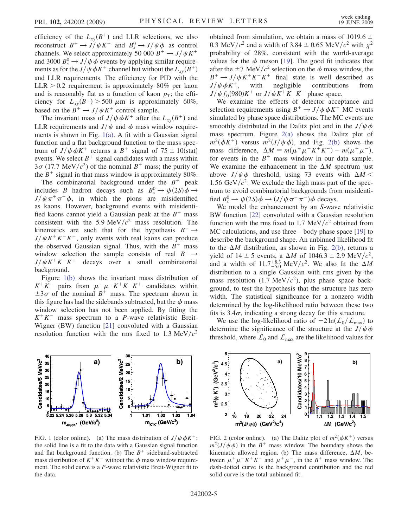efficiency of the  $L_{xy}(B^+)$  and LLR selections, we also reconstruct  $B^+ \to J/\psi K^+$  and  $B_s^0 \to J/\psi \phi$  as control channels. We select approximately 50 000  $B^+ \rightarrow J/\psi K^+$ and 3000  $B_s^0 \rightarrow J/\psi \phi$  events by applying similar requirements as for the  $J/\psi \phi K^+$  channel but without the  $L_{xy}(B^+)$ and LLR requirements. The efficiency for PID with the  $LLR > 0.2$  requirement is approximately 80% per kaon and is reasonably flat as a function of kaon  $p<sub>T</sub>$ ; the efficiency for  $L_{xy}(B^+) > 500 \mu \text{m}$  is approximately 60%, based on the  $B^+ \to J/\psi K^+$  control sample.

The invariant mass of  $J/\psi \phi K^+$  after the  $L_{xy}(B^+)$  and LLR requirements and  $J/\psi$  and  $\phi$  mass window requirements is shown in Fig. [1\(a\)](#page-4-0). A fit with a Gaussian signal function and a flat background function to the mass spectrum of  $J/\psi \phi K^+$  returns a  $B^+$  signal of 75  $\pm$  10(stat) events. We select  $B^+$  signal candidates with a mass within  $3\sigma$  (17.7 MeV/ $c^2$ ) of the nominal  $B^+$  mass; the purity of the  $B^+$  signal in that mass window is approximately 80%.

The combinatorial background under the  $B^+$  peak includes B hadron decays such as  $B_s^0 \to \psi(2S)\phi \to$  $J/\psi \pi^+ \pi^- \phi$ , in which the pions are misidentified as kaons. However, background events with misidentified kaons cannot yield a Gaussian peak at the  $B^+$  mass consistent with the 5.9 MeV/ $c^2$  mass resolution. The kinematics are such that for the hypothesis  $B^+ \rightarrow$  $J/\psi K^+K^-K^+$ , only events with real kaons can produce the observed Gaussian signal. Thus, with the  $B^+$  mass window selection the sample consists of real  $B^+ \rightarrow$  $J/\psi K^{+}K^{-}K^{+}$  decays over a small combinatorial background.

Figure [1\(b\)](#page-4-0) shows the invariant mass distribution of  $K^+K^-$  pairs from  $\mu^+\mu^-K^+K^-K^+$  candidates within  $\pm 3\sigma$  of the nominal  $B^+$  mass. The spectrum shown in this figure has had the sidebands subtracted, but the  $\phi$  mass window selection has not been applied. By fitting the  $K^+K^-$  mass spectrum to a *P*-wave relativistic Breit-Wigner (BW) function [\[21\]](#page-6-39) convoluted with a Gaussian resolution function with the rms fixed to 1.3 MeV/ $c^2$ 



<span id="page-4-0"></span>FIG. 1 (color online). (a) The mass distribution of  $J/\psi \phi K^+$ ; the solid line is a fit to the data with a Gaussian signal function and flat background function. (b) The  $B^+$  sideband-subtracted mass distribution of  $K^+K^-$  without the  $\phi$  mass window requirement. The solid curve is a P-wave relativistic Breit-Wigner fit to the data.

obtained from simulation, we obtain a mass of 1019.6  $\pm$ 0.3 MeV/ $c^2$  and a width of 3.84  $\pm$  0.65 MeV/ $c^2$  with  $\chi^2$ probability of 28%, consistent with the world-average values for the  $\phi$  meson [[19](#page-6-37)]. The good fit indicates that after the  $\pm$ 7 MeV/ $c^2$  selection on the  $\phi$  mass window, the  $B^+ \to J/\psi K^+ K^- K^+$  final state is well described as  $J/\psi \phi K^+$ , with negligible contributions from  $J/\psi f_0(980)K^+$  or  $J/\psi K^+ K^- K^+$  phase space.

We examine the effects of detector acceptance and selection requirements using  $B^+ \to J/\psi \phi K^+$  MC events simulated by phase space distributions. The MC events are smoothly distributed in the Dalitz plot and in the  $J/\psi \phi$ mass spectrum. Figure [2\(a\)](#page-4-1) shows the Dalitz plot of  $m^2(\phi K^+)$  versus  $m^2(J/\psi \phi)$ , and Fig. [2\(b\)](#page-4-1) shows the mass difference,  $\Delta M = m(\mu^+ \mu^- K^+ K^-) - m(\mu^+ \mu^-)$ , for events in the  $B^+$  mass window in our data sample. We examine the enhancement in the  $\Delta M$  spectrum just above  $J/\psi \phi$  threshold, using 73 events with  $\Delta M$  < 1.56 GeV/ $c^2$ . We exclude the high mass part of the spectrum to avoid combinatorial backgrounds from misidentified  $B_s^0 \to \psi(2S)\phi \to (J/\psi \pi^+ \pi^-)\phi$  decays.

We model the enhancement by an S-wave relativistic BW function [[22](#page-6-40)] convoluted with a Gaussian resolution function with the rms fixed to 1.7 MeV/ $c^2$  obtained from MC calculations, and use three—body phase space [\[19\]](#page-6-37) to describe the background shape. An unbinned likelihood fit to the  $\Delta M$  distribution, as shown in Fig. [2\(b\)](#page-4-1), returns a yield of  $14 \pm 5$  events, a  $\Delta M$  of  $1046.3 \pm 2.9$  MeV/ $c^2$ , and a width of  $11.7^{+8.3}_{-5.0}$  MeV/ $c^2$ . We also fit the  $\Delta M$ distribution to a single Gaussian with rms given by the mass resolution (1.7 MeV/ $c^2$ ), plus phase space background, to test the hypothesis that the structure has zero width. The statistical significance for a nonzero width determined by the log-likelihood ratio between these two fits is  $3.4\sigma$ , indicating a strong decay for this structure.

We use the log-likelihood ratio of  $-2\ln(\mathcal{L}_0/\mathcal{L}_{\text{max}})$  to determine the significance of the structure at the  $J/\psi \phi$ threshold, where  $\mathcal{L}_0$  and  $\mathcal{L}_{\text{max}}$  are the likelihood values for



<span id="page-4-1"></span>FIG. 2 (color online). (a) The Dalitz plot of  $m^2(\phi K^+)$  versus  $m^2(J/\psi \phi)$  in the B<sup>+</sup> mass window. The boundary shows the kinematic allowed region. (b) The mass difference,  $\Delta M$ , between  $\mu^+ \mu^- K^+ K^-$  and  $\mu^+ \mu^-$ , in the  $B^+$  mass window. The dash-dotted curve is the background contribution and the red solid curve is the total unbinned fit.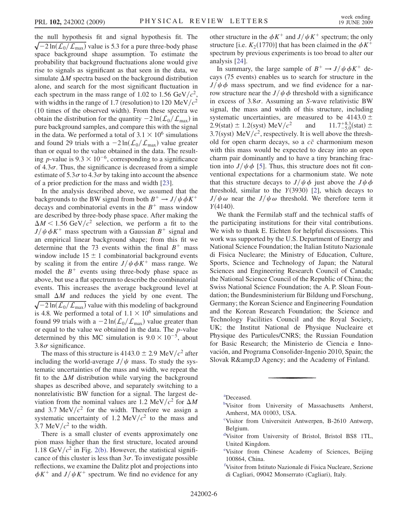the null hypothesis fit and signal hypothesis fit. The  $\sqrt{-2 \ln(L_0/L_{\text{max}})}$  value is 5.3 for a pure three-body phase space background shape assumption. To estimate the probability that background fluctuations alone would give rise to signals as significant as that seen in the data, we simulate  $\Delta M$  spectra based on the background distribution alone, and search for the most significant fluctuation in each spectrum in the mass range of 1.02 to 1.56 GeV/ $c^2$ , with widths in the range of 1.7 (resolution) to 120 MeV/ $c^2$ (10 times of the observed width). From these spectra we obtain the distribution for the quantity  $-2 \ln(L_0/L_{\text{max}})$  in pure background samples, and compare this with the signal in the data. We performed a total of  $3.1 \times 10^6$  simulations and found 29 trials with a  $-2\ln(\mathcal{L}_0/\mathcal{L}_{\text{max}})$  value greater than or equal to the value obtained in the data. The resulting *p*-value is  $9.3 \times 10^{-6}$ , corresponding to a significance of  $4.3\sigma$ . Thus, the significance is decreased from a simple estimate of  $5.3\sigma$  to  $4.3\sigma$  by taking into account the absence of a prior prediction for the mass and width [[23](#page-6-41)].

In the analysis described above, we assumed that the backgrounds to the BW signal from both  $B^+ \to J/\psi \phi K^+$ decays and combinatorial events in the  $B^+$  mass window are described by three-body phase space. After making the  $\Delta M$  < 1.56 GeV/ $c^2$  selection, we perform a fit to the  $J/\psi \phi K^+$  mass spectrum with a Gaussian  $B^+$  signal and an empirical linear background shape; from this fit we determine that the 73 events within the final  $B^+$  mass window include  $15 \pm 1$  combinatorial background events by scaling it from the entire  $J/\psi \phi K^+$  mass range. We model the  $B^+$  events using three-body phase space as above, but use a flat spectrum to describe the combinatorial events. This increases the average background level at small  $\Delta M$  and reduces the yield by one event. The  $\sqrt{-2 \ln(L_0/L_{\text{max}})}$  value with this modeling of background is 4.8. We performed a total of  $1.1 \times 10^6$  simulations and found 99 trials with a  $-2 \ln(\mathcal{L}_0/\mathcal{L}_{\text{max}})$  value greater than or equal to the value we obtained in the data. The p-value determined by this MC simulation is  $9.0 \times 10^{-5}$ , about  $3.8\sigma$  significance.

The mass of this structure is  $4143.0 \pm 2.9$  MeV/ $c^2$  after including the world-average  $J/\psi$  mass. To study the systematic uncertainties of the mass and width, we repeat the fit to the  $\Delta M$  distribution while varying the background shapes as described above, and separately switching to a nonrelativistic BW function for a signal. The largest deviation from the nominal values are 1.2 MeV/ $c^2$  for  $\Delta M$ and 3.7 MeV/ $c^2$  for the width. Therefore we assign a systematic uncertainty of 1.2 MeV/ $c<sup>2</sup>$  to the mass and 3.7 MeV/ $c^2$  to the width.

There is a small cluster of events approximately one pion mass higher than the first structure, located around 1.18 GeV/ $c^2$  in Fig. [2\(b\).](#page-4-1) However, the statistical significance of this cluster is less than  $3\sigma$ . To investigate possible reflections, we examine the Dalitz plot and projections into  $\phi K^+$  and  $J/\psi K^+$  spectrum. We find no evidence for any other structure in the  $\phi K^+$  and  $J/\psi K^+$  spectrum; the only structure [i.e.  $K_2(1770)$ ] that has been claimed in the  $\phi K^+$ spectrum by previous experiments is too broad to alter our analysis [\[24\]](#page-6-42).

In summary, the large sample of  $B^+ \to J/\psi \phi K^+$  decays (75 events) enables us to search for structure in the  $J/\psi \phi$  mass spectrum, and we find evidence for a narrow structure near the  $J/\psi \phi$  threshold with a significance in excess of  $3.8\sigma$ . Assuming an S-wave relativistic BW signal, the mass and width of this structure, including systematic uncertainties, are measured to be 4143.0  $\pm$ <br>2.9(stat)  $\pm$  1.2(syst) MeV/ $c^2$  and 11.7 $^{+8.3}_{-5.0}$ (stat)  $\pm$ 2.9(stat)  $\pm$  1.2(syst) MeV/ $c^2$  $11.7^{+8.3}_{-5.0}$ (stat)  $\pm$ 3.7(syst) MeV/ $c^2$ , respectively. It is well above the threshold for open charm decays, so a  $c\bar{c}$  charmonium meson with this mass would be expected to decay into an open charm pair dominantly and to have a tiny branching fraction into  $J/\psi \phi$  [[5](#page-6-22)]. Thus, this structure does not fit conventional expectations for a charmonium state. We note that this structure decays to  $J/\psi \phi$  just above the  $J\psi \phi$ threshold, similar to the  $Y(3930)$  [[2](#page-6-25)], which decays to  $J/\psi \omega$  near the  $J/\psi \omega$  threshold. We therefore term it  $Y(4140)$ .

We thank the Fermilab staff and the technical staffs of the participating institutions for their vital contributions. We wish to thank E. Eichten for helpful discussions. This work was supported by the U.S. Department of Energy and National Science Foundation; the Italian Istituto Nazionale di Fisica Nucleare; the Ministry of Education, Culture, Sports, Science and Technology of Japan; the Natural Sciences and Engineering Research Council of Canada; the National Science Council of the Republic of China; the Swiss National Science Foundation; the A. P. Sloan Foundation; the Bundesministerium für Bildung und Forschung, Germany; the Korean Science and Engineering Foundation and the Korean Research Foundation; the Science and Technology Facilities Council and the Royal Society, UK; the Institut National de Physique Nucleaire et Physique des Particules/CNRS; the Russian Foundation for Basic Research; the Ministerio de Ciencia e Innovación, and Programa Consolider-Ingenio 2010, Spain; the Slovak R& D Agency; and the Academy of Finland.

<span id="page-5-3"></span><span id="page-5-0"></span>[a](#page-1-0) Deceased.

- <span id="page-5-1"></span><sup>[c](#page-1-1)</sup>Visitor from Universiteit Antwerpen, B-2610 Antwerp, Belgium.
- <span id="page-5-5"></span>[d](#page-0-1) Visitor from University of Bristol, Bristol BS8 1TL, United Kingdom.
- <span id="page-5-2"></span>[e](#page-1-2) Visitor from Chinese Academy of Sciences, Beijing 100864, China.
- [f](#page-0-2) Visitor from Istituto Nazionale di Fisica Nucleare, Sezione di Cagliari, 09042 Monserrato (Cagliari), Italy.

<span id="page-5-4"></span>[b](#page-0-0)Visitor from University of Massachusetts Amherst, Amherst, MA 01003, USA.